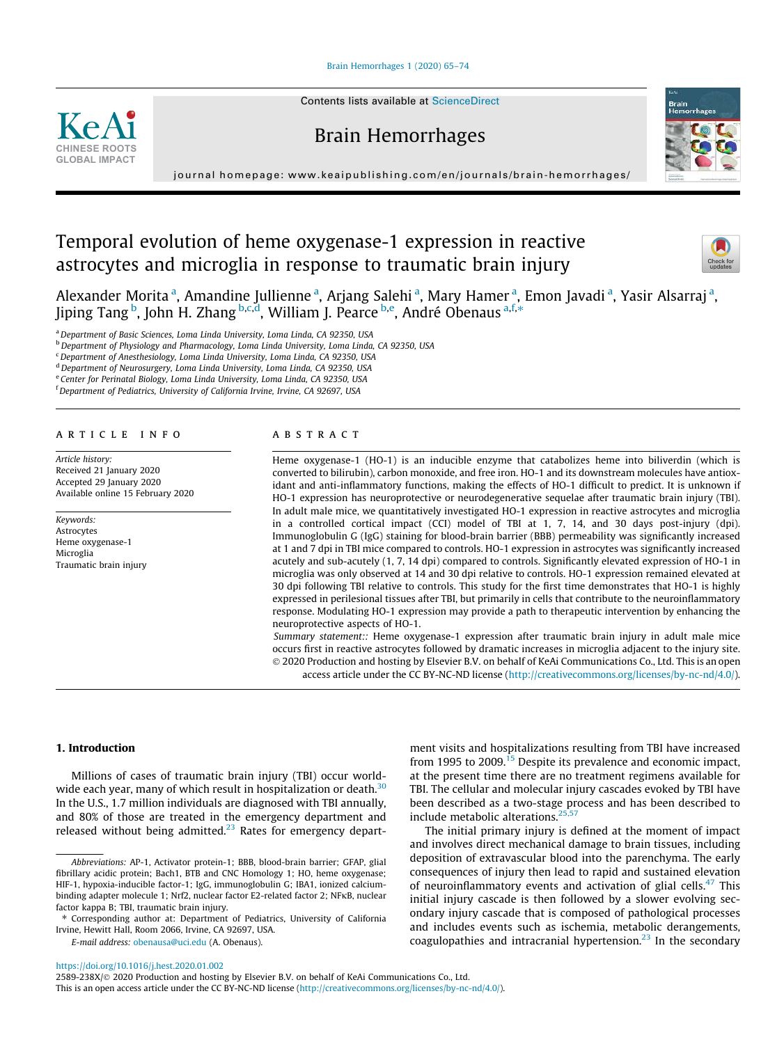Brain Hemorrhages 1 (2020) 65–74

Contents lists available at ScienceDirect

# Brain Hemorrhages

journal homepage: www.keaipublishing. com/en/journals/brain-hemorrhages/

# Temporal evolution of heme oxygenase-1 expression in reactive astrocytes and microglia in response to traumatic brain injury

Alexander Morita<sup>a</sup>, Amandine Jullienne<sup>a</sup>, Arjang Salehi<sup>a</sup>, Mary Hamer<sup>a</sup>, Emon Javadi<sup>a</sup>, Yasir Alsarraj<sup>a</sup>, Jiping Tang <sup>b</sup>, John H. Zhang b,c,d, William J. Pearce <sup>b,e</sup>, André Obenaus <sup>a,f,\*</sup>

<sup>a</sup>*Department of Basic Sciences, Loma Linda University, Loma Linda, CA 92350, USA*

<sup>b</sup>*Department of Physiology and Pharmacology, Loma Linda University, Loma Linda, CA 92350, USA*

<sup>c</sup>*Department of Anesthesiology, Loma Linda University, Loma Linda, CA 92350, USA*

<sup>d</sup>*Department of Neurosurgery, Loma Linda University, Loma Linda, CA 92350, USA*

e *Center for Perinatal Biology, Loma Linda University, Loma Linda, CA 92350, USA*

<sup>f</sup>*Department of Pediatrics, University of California Irvine, Irvine, CA 92697, USA*

#### article info

**CHINESE ROOTS GLOBAL IMPACT**

 $KeA<sup>2</sup>$ 

*Article history:* Received 21 January 2020 Accepted 29 January 2020 Available online 15 February 2020

*Keywords:* Astrocytes Heme oxygenase-1 **Microglia** Traumatic brain injury

# A B S T R A C T

Heme oxygenase-1 (HO-1) is an inducible enzyme that catabolizes heme into biliverdin (which is converted to bilirubin), carbon monoxide, and free iron. HO-1 and its downstream molecules have antioxidant and anti-inflammatory functions, making the effects of HO-1 difficult to predict. It is unknown if HO-1 expression has neuroprotective or neurodegenerative sequelae after traumatic brain injury (TBI). In adult male mice, we quantitatively investigated HO-1 expression in reactive astrocytes and microglia in a controlled cortical impact (CCI) model of TBI at 1, 7, 14, and 30 days post-injury (dpi). Immunoglobulin G (IgG) staining for blood-brain barrier (BBB) permeability was significantly increased at 1 and 7 dpi in TBI mice compared to controls. HO-1 expression in astrocytes was significantly increased acutely and sub-acutely (1, 7, 14 dpi) compared to controls. Significantly elevated expression of HO-1 in microglia was only observed at 14 and 30 dpi relative to controls. HO-1 expression remained elevated at 30 dpi following TBI relative to controls. This study for the first time demonstrates that HO-1 is highly expressed in perilesional tissues after TBI, but primarily in cells that contribute to the neuroinflammatory response. Modulating HO-1 expression may provide a path to therapeutic intervention by enhancing the neuroprotective aspects of HO-1.

*Summary statement::* Heme oxygenase-1 expression after traumatic brain injury in adult male mice occurs first in reactive astrocytes followed by dramatic increases in microglia adjacent to the injury site. 2020 Production and hosting by Elsevier B.V. on behalf of KeAi Communications Co., Ltd. This is an open access article under the CC BY-NC-ND license (http://creativecommons.org/licenses/by-nc-nd/4.0/).

# 1. Introduction

Millions of cases of traumatic brain injury (TBI) occur worldwide each year, many of which result in hospitalization or death.<sup>30</sup> In the U.S., 1.7 million individuals are diagnosed with TBI annually, and 80% of those are treated in the emergency department and released without being admitted.<sup>23</sup> Rates for emergency depart-

*E-mail address:* obenausa@uci.edu (A. Obenaus).

ment visits and hospitalizations resulting from TBI have increased from 1995 to  $2009$ .<sup>15</sup> Despite its prevalence and economic impact, at the present time there are no treatment regimens available for TBI. The cellular and molecular injury cascades evoked by TBI have been described as a two-stage process and has been described to include metabolic alterations. $25,57$ 

The initial primary injury is defined at the moment of impact and involves direct mechanical damage to brain tissues, including deposition of extravascular blood into the parenchyma. The early consequences of injury then lead to rapid and sustained elevation of neuroinflammatory events and activation of glial cells. $47$  This initial injury cascade is then followed by a slower evolving secondary injury cascade that is composed of pathological processes and includes events such as ischemia, metabolic derangements, coagulopathies and intracranial hypertension. $^{23}$  In the secondary

https://doi.org/10.1016/j.hest.2020.01.002





*Abbreviations:* AP-1, Activator protein-1; BBB, blood-brain barrier; GFAP, glial fibrillary acidic protein; Bach1, BTB and CNC Homology 1; HO, heme oxygenase; HIF-1, hypoxia-inducible factor-1; IgG, immunoglobulin G; IBA1, ionized calciumbinding adapter molecule 1; Nrf2, nuclear factor E2-related factor 2; NFKB, nuclear factor kappa B; TBI, traumatic brain injury.

<sup>⇑</sup> Corresponding author at: Department of Pediatrics, University of California Irvine, Hewitt Hall, Room 2066, Irvine, CA 92697, USA.

<sup>2589-238</sup>X/@ 2020 Production and hosting by Elsevier B.V. on behalf of KeAi Communications Co., Ltd. This is an open access article under the CC BY-NC-ND license (http://creativecommons.org/licenses/by-nc-nd/4.0/).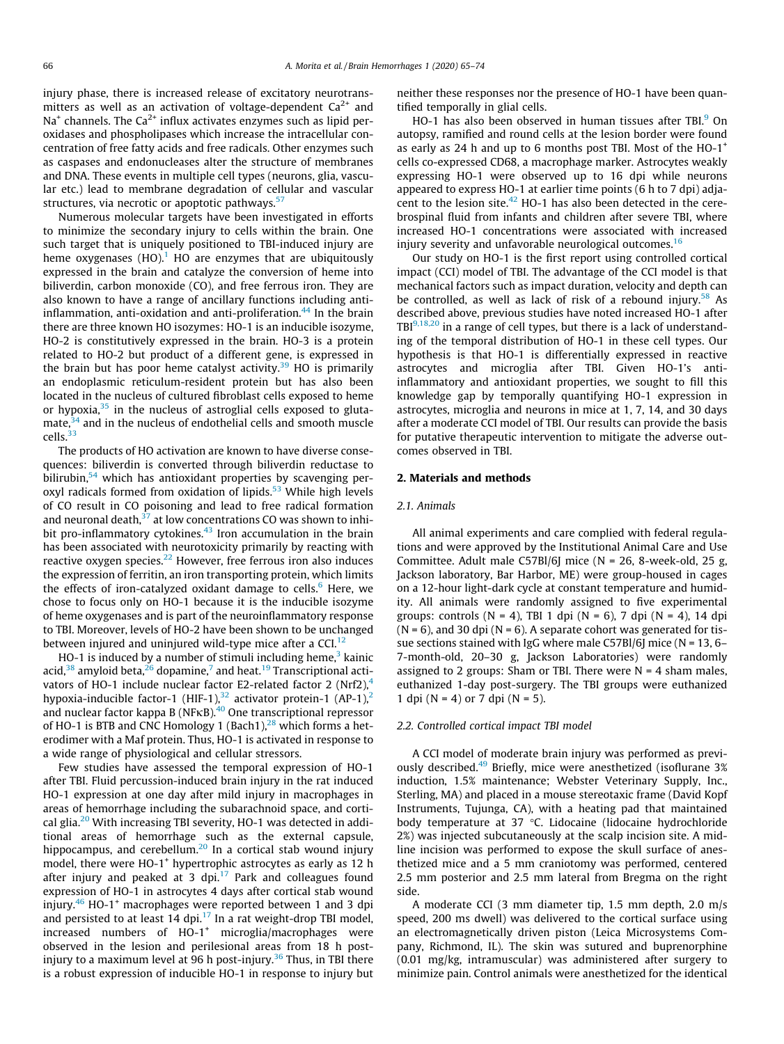injury phase, there is increased release of excitatory neurotransmitters as well as an activation of voltage-dependent  $Ca^{2+}$  and Na $^{\scriptscriptstyle +}$  channels. The Ca $^{2+}$  influx activates enzymes such as lipid peroxidases and phospholipases which increase the intracellular concentration of free fatty acids and free radicals. Other enzymes such as caspases and endonucleases alter the structure of membranes and DNA. These events in multiple cell types (neurons, glia, vascular etc.) lead to membrane degradation of cellular and vascular structures, via necrotic or apoptotic pathways.<sup>57</sup>

Numerous molecular targets have been investigated in efforts to minimize the secondary injury to cells within the brain. One such target that is uniquely positioned to TBI-induced injury are heme oxygenases  $(HO)<sup>1</sup>$  HO are enzymes that are ubiquitously expressed in the brain and catalyze the conversion of heme into biliverdin, carbon monoxide (CO), and free ferrous iron. They are also known to have a range of ancillary functions including antiinflammation, anti-oxidation and anti-proliferation. $44$  In the brain there are three known HO isozymes: HO-1 is an inducible isozyme, HO-2 is constitutively expressed in the brain. HO-3 is a protein related to HO-2 but product of a different gene, is expressed in the brain but has poor heme catalyst activity. $39$  HO is primarily an endoplasmic reticulum-resident protein but has also been located in the nucleus of cultured fibroblast cells exposed to heme or hypoxia, $35$  in the nucleus of astroglial cells exposed to gluta $mate<sup>34</sup>$ , and in the nucleus of endothelial cells and smooth muscle cells.<sup>33</sup>

The products of HO activation are known to have diverse consequences: biliverdin is converted through biliverdin reductase to bilirubin,<sup>54</sup> which has antioxidant properties by scavenging peroxyl radicals formed from oxidation of lipids.<sup>53</sup> While high levels of CO result in CO poisoning and lead to free radical formation and neuronal death, $37$  at low concentrations CO was shown to inhibit pro-inflammatory cytokines. $43$  Iron accumulation in the brain has been associated with neurotoxicity primarily by reacting with reactive oxygen species.<sup>22</sup> However, free ferrous iron also induces the expression of ferritin, an iron transporting protein, which limits the effects of iron-catalyzed oxidant damage to cells. $<sup>6</sup>$  Here, we</sup> chose to focus only on HO-1 because it is the inducible isozyme of heme oxygenases and is part of the neuroinflammatory response to TBI. Moreover, levels of HO-2 have been shown to be unchanged between injured and uninjured wild-type mice after a CCI. $^{12}$ 

HO-1 is induced by a number of stimuli including heme,<sup>3</sup> kainic acid, $^{38}$  amyloid beta, $^{26}$  dopamine, $^7$  and heat. $^{19}$  Transcriptional activators of HO-1 include nuclear factor E2-related factor 2  $(Nrf2)<sup>4</sup>$ hypoxia-inducible factor-1 (HIF-1),<sup>32</sup> activator protein-1 (AP-1),<sup>2</sup> and nuclear factor kappa B (NF $\kappa$ B).<sup>40</sup> One transcriptional repressor of HO-1 is BTB and CNC Homology 1 (Bach1), $^{28}$  which forms a heterodimer with a Maf protein. Thus, HO-1 is activated in response to a wide range of physiological and cellular stressors.

Few studies have assessed the temporal expression of HO-1 after TBI. Fluid percussion-induced brain injury in the rat induced HO-1 expression at one day after mild injury in macrophages in areas of hemorrhage including the subarachnoid space, and cortical glia.<sup>20</sup> With increasing TBI severity, HO-1 was detected in additional areas of hemorrhage such as the external capsule, hippocampus, and cerebellum.<sup>20</sup> In a cortical stab wound injury model, there were HO-1<sup>+</sup> hypertrophic astrocytes as early as 12 h after injury and peaked at 3 dpi. $17$  Park and colleagues found expression of HO-1 in astrocytes 4 days after cortical stab wound injury.<sup>46</sup> HO-1<sup>+</sup> macrophages were reported between 1 and 3 dpi and persisted to at least 14 dpi.<sup>17</sup> In a rat weight-drop TBI model,  $increased$  numbers of  $HO-1^+$  microglia/macrophages were observed in the lesion and perilesional areas from 18 h postinjury to a maximum level at 96 h post-injury.<sup>36</sup> Thus, in TBI there is a robust expression of inducible HO-1 in response to injury but neither these responses nor the presence of HO-1 have been quantified temporally in glial cells.

HO-1 has also been observed in human tissues after TBI.<sup>9</sup> On autopsy, ramified and round cells at the lesion border were found as early as 24 h and up to 6 months post TBI. Most of the  $HO-1^+$ cells co-expressed CD68, a macrophage marker. Astrocytes weakly expressing HO-1 were observed up to 16 dpi while neurons appeared to express HO-1 at earlier time points (6 h to 7 dpi) adjacent to the lesion site. $42$  HO-1 has also been detected in the cerebrospinal fluid from infants and children after severe TBI, where increased HO-1 concentrations were associated with increased injury severity and unfavorable neurological outcomes. $16$ 

Our study on HO-1 is the first report using controlled cortical impact (CCI) model of TBI. The advantage of the CCI model is that mechanical factors such as impact duration, velocity and depth can be controlled, as well as lack of risk of a rebound injury.<sup>58</sup> As described above, previous studies have noted increased HO-1 after  $TBI<sup>9,18,20</sup>$  in a range of cell types, but there is a lack of understanding of the temporal distribution of HO-1 in these cell types. Our hypothesis is that HO-1 is differentially expressed in reactive astrocytes and microglia after TBI. Given HO-1's antiinflammatory and antioxidant properties, we sought to fill this knowledge gap by temporally quantifying HO-1 expression in astrocytes, microglia and neurons in mice at 1, 7, 14, and 30 days after a moderate CCI model of TBI. Our results can provide the basis for putative therapeutic intervention to mitigate the adverse outcomes observed in TBI.

## 2. Materials and methods

#### *2.1. Animals*

All animal experiments and care complied with federal regulations and were approved by the Institutional Animal Care and Use Committee. Adult male C57Bl/6J mice (N = 26, 8-week-old, 25 g, Jackson laboratory, Bar Harbor, ME) were group-housed in cages on a 12-hour light-dark cycle at constant temperature and humidity. All animals were randomly assigned to five experimental groups: controls (N = 4), TBI 1 dpi (N = 6), 7 dpi (N = 4), 14 dpi  $(N = 6)$ , and 30 dpi  $(N = 6)$ . A separate cohort was generated for tissue sections stained with IgG where male  $C57B1/6$  mice (N = 13, 6– 7-month-old, 20–30 g, Jackson Laboratories) were randomly assigned to 2 groups: Sham or TBI. There were  $N = 4$  sham males, euthanized 1-day post-surgery. The TBI groups were euthanized 1 dpi ( $N = 4$ ) or 7 dpi ( $N = 5$ ).

#### *2.2. Controlled cortical impact TBI model*

A CCI model of moderate brain injury was performed as previously described.<sup>49</sup> Briefly, mice were anesthetized (isoflurane 3% induction, 1.5% maintenance; Webster Veterinary Supply, Inc., Sterling, MA) and placed in a mouse stereotaxic frame (David Kopf Instruments, Tujunga, CA), with a heating pad that maintained body temperature at 37  $\degree$ C. Lidocaine (lidocaine hydrochloride 2%) was injected subcutaneously at the scalp incision site. A midline incision was performed to expose the skull surface of anesthetized mice and a 5 mm craniotomy was performed, centered 2.5 mm posterior and 2.5 mm lateral from Bregma on the right side.

A moderate CCI (3 mm diameter tip, 1.5 mm depth, 2.0 m/s speed, 200 ms dwell) was delivered to the cortical surface using an electromagnetically driven piston (Leica Microsystems Company, Richmond, IL). The skin was sutured and buprenorphine (0.01 mg/kg, intramuscular) was administered after surgery to minimize pain. Control animals were anesthetized for the identical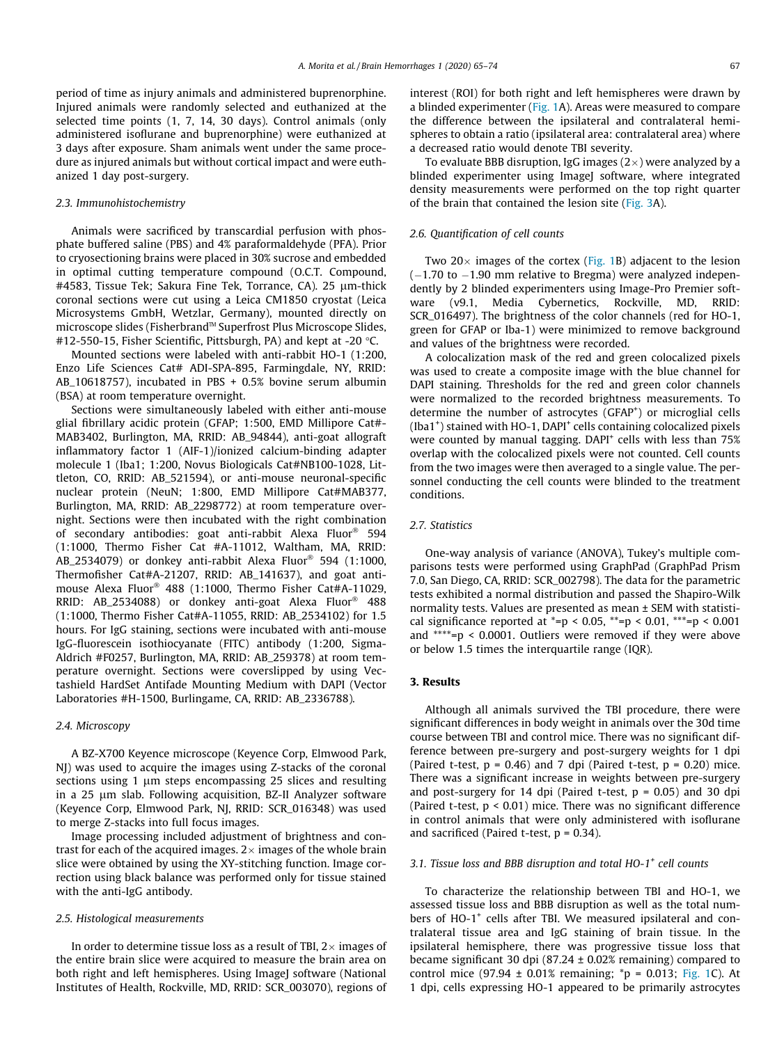period of time as injury animals and administered buprenorphine. Injured animals were randomly selected and euthanized at the selected time points (1, 7, 14, 30 days). Control animals (only administered isoflurane and buprenorphine) were euthanized at 3 days after exposure. Sham animals went under the same procedure as injured animals but without cortical impact and were euthanized 1 day post-surgery.

#### *2.3. Immunohistochemistry*

Animals were sacrificed by transcardial perfusion with phosphate buffered saline (PBS) and 4% paraformaldehyde (PFA). Prior to cryosectioning brains were placed in 30% sucrose and embedded in optimal cutting temperature compound (O.C.T. Compound, #4583, Tissue Tek; Sakura Fine Tek, Torrance, CA). 25 µm-thick coronal sections were cut using a Leica CM1850 cryostat (Leica Microsystems GmbH, Wetzlar, Germany), mounted directly on microscope slides (Fisherbrand™ Superfrost Plus Microscope Slides, #12-550-15, Fisher Scientific, Pittsburgh, PA) and kept at -20 $\degree$ C.

Mounted sections were labeled with anti-rabbit HO-1 (1:200, Enzo Life Sciences Cat# ADI-SPA-895, Farmingdale, NY, RRID: AB\_10618757), incubated in PBS + 0.5% bovine serum albumin (BSA) at room temperature overnight.

Sections were simultaneously labeled with either anti-mouse glial fibrillary acidic protein (GFAP; 1:500, EMD Millipore Cat#- MAB3402, Burlington, MA, RRID: AB\_94844), anti-goat allograft inflammatory factor 1 (AIF-1)/ionized calcium-binding adapter molecule 1 (Iba1; 1:200, Novus Biologicals Cat#NB100-1028, Littleton, CO, RRID: AB\_521594), or anti-mouse neuronal-specific nuclear protein (NeuN; 1:800, EMD Millipore Cat#MAB377, Burlington, MA, RRID: AB\_2298772) at room temperature overnight. Sections were then incubated with the right combination of secondary antibodies: goat anti-rabbit Alexa Fluor 594 (1:1000, Thermo Fisher Cat #A-11012, Waltham, MA, RRID: AB\_2534079) or donkey anti-rabbit Alexa Fluor 594 (1:1000, Thermofisher Cat#A-21207, RRID: AB\_141637), and goat antimouse Alexa Fluor 488 (1:1000, Thermo Fisher Cat#A-11029, RRID: AB\_2534088) or donkey anti-goat Alexa Fluor 488 (1:1000, Thermo Fisher Cat#A-11055, RRID: AB\_2534102) for 1.5 hours. For IgG staining, sections were incubated with anti-mouse IgG-fluorescein isothiocyanate (FITC) antibody (1:200, Sigma-Aldrich #F0257, Burlington, MA, RRID: AB\_259378) at room temperature overnight. Sections were coverslipped by using Vectashield HardSet Antifade Mounting Medium with DAPI (Vector Laboratories #H-1500, Burlingame, CA, RRID: AB\_2336788).

#### *2.4. Microscopy*

A BZ-X700 Keyence microscope (Keyence Corp, Elmwood Park, NJ) was used to acquire the images using Z-stacks of the coronal sections using 1  $\mu$ m steps encompassing 25 slices and resulting in a 25 µm slab. Following acquisition, BZ-II Analyzer software (Keyence Corp, Elmwood Park, NJ, RRID: SCR\_016348) was used to merge Z-stacks into full focus images.

Image processing included adjustment of brightness and contrast for each of the acquired images.  $2\times$  images of the whole brain slice were obtained by using the XY-stitching function. Image correction using black balance was performed only for tissue stained with the anti-IgG antibody.

#### *2.5. Histological measurements*

In order to determine tissue loss as a result of TBI,  $2\times$  images of the entire brain slice were acquired to measure the brain area on both right and left hemispheres. Using ImageJ software (National Institutes of Health, Rockville, MD, RRID: SCR\_003070), regions of

interest (ROI) for both right and left hemispheres were drawn by a blinded experimenter (Fig. 1A). Areas were measured to compare the difference between the ipsilateral and contralateral hemispheres to obtain a ratio (ipsilateral area: contralateral area) where a decreased ratio would denote TBI severity.

To evaluate BBB disruption, IgG images  $(2\times)$  were analyzed by a blinded experimenter using ImageJ software, where integrated density measurements were performed on the top right quarter of the brain that contained the lesion site (Fig. 3A).

### *2.6. Quantification of cell counts*

Two 20 $\times$  images of the cortex (Fig. 1B) adjacent to the lesion  $(-1.70$  to  $-1.90$  mm relative to Bregma) were analyzed independently by 2 blinded experimenters using Image-Pro Premier software (v9.1, Media Cybernetics, Rockville, MD, RRID: SCR\_016497). The brightness of the color channels (red for HO-1, green for GFAP or Iba-1) were minimized to remove background and values of the brightness were recorded.

A colocalization mask of the red and green colocalized pixels was used to create a composite image with the blue channel for DAPI staining. Thresholds for the red and green color channels were normalized to the recorded brightness measurements. To determine the number of astrocytes (GFAP<sup>+</sup>) or microglial cells (Iba1<sup>+</sup>) stained with HO-1, DAPI<sup>+</sup> cells containing colocalized pixels were counted by manual tagging. DAPI<sup>+</sup> cells with less than 75% overlap with the colocalized pixels were not counted. Cell counts from the two images were then averaged to a single value. The personnel conducting the cell counts were blinded to the treatment conditions.

# *2.7. Statistics*

One-way analysis of variance (ANOVA), Tukey's multiple comparisons tests were performed using GraphPad (GraphPad Prism 7.0, San Diego, CA, RRID: SCR\_002798). The data for the parametric tests exhibited a normal distribution and passed the Shapiro-Wilk normality tests. Values are presented as mean ± SEM with statistical significance reported at  $_{\text{p}}$  < 0.05,  $_{\text{p}}$  < 0.01,  $_{\text{p}}$  +  $_{\text{p}}$  < 0.001 and \*\*\*\*=p < 0.0001. Outliers were removed if they were above or below 1.5 times the interquartile range (IQR).

## 3. Results

Although all animals survived the TBI procedure, there were significant differences in body weight in animals over the 30d time course between TBI and control mice. There was no significant difference between pre-surgery and post-surgery weights for 1 dpi (Paired t-test,  $p = 0.46$ ) and 7 dpi (Paired t-test,  $p = 0.20$ ) mice. There was a significant increase in weights between pre-surgery and post-surgery for 14 dpi (Paired t-test,  $p = 0.05$ ) and 30 dpi (Paired t-test, p < 0.01) mice. There was no significant difference in control animals that were only administered with isoflurane and sacrificed (Paired t-test,  $p = 0.34$ ).

# *3.1. Tissue loss and BBB disruption and total HO-1<sup>+</sup> cell counts*

To characterize the relationship between TBI and HO-1, we assessed tissue loss and BBB disruption as well as the total numbers of HO-1<sup>+</sup> cells after TBI. We measured ipsilateral and contralateral tissue area and IgG staining of brain tissue. In the ipsilateral hemisphere, there was progressive tissue loss that became significant 30 dpi (87.24  $\pm$  0.02% remaining) compared to control mice (97.94  $\pm$  0.01% remaining; \*p = 0.013; Fig. 1C). At 1 dpi, cells expressing HO-1 appeared to be primarily astrocytes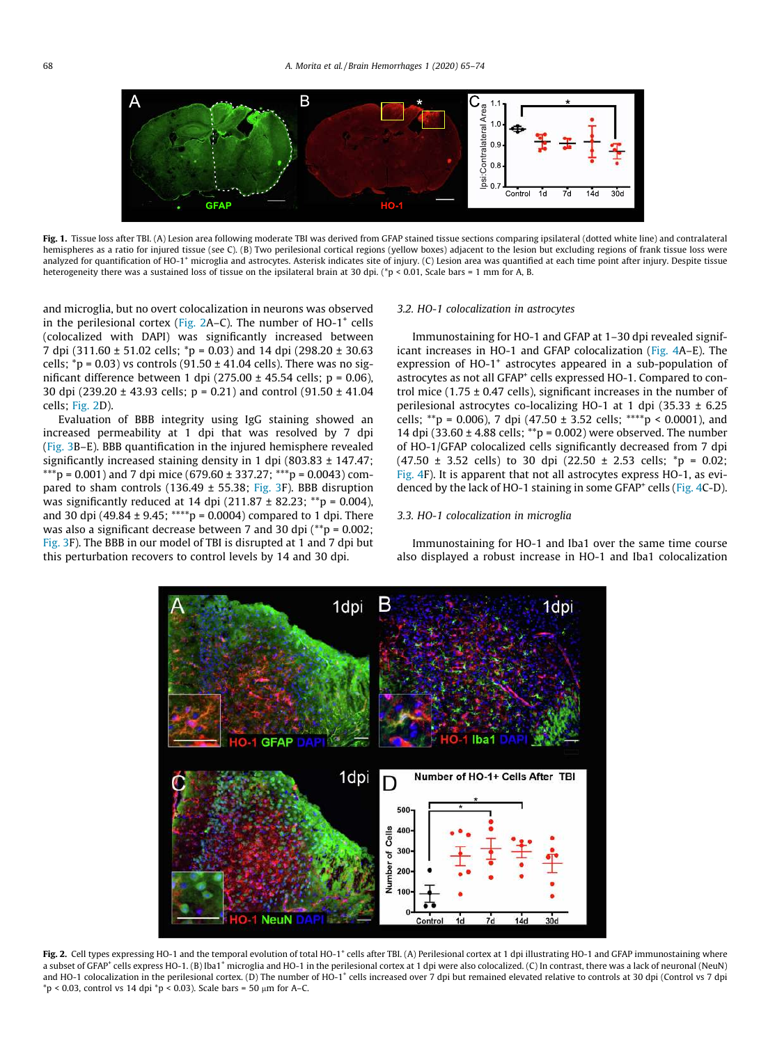

Fig. 1. Tissue loss after TBI. (A) Lesion area following moderate TBI was derived from GFAP stained tissue sections comparing ipsilateral (dotted white line) and contralateral hemispheres as a ratio for injured tissue (see C). (B) Two perilesional cortical regions (yellow boxes) adjacent to the lesion but excluding regions of frank tissue loss were analyzed for quantification of HO-1<sup>+</sup> microglia and astrocytes. Asterisk indicates site of injury. (C) Lesion area was quantified at each time point after injury. Despite tissue heterogeneity there was a sustained loss of tissue on the ipsilateral brain at 30 dpi. (\*p < 0.01, Scale bars = 1 mm for A, B.

and microglia, but no overt colocalization in neurons was observed in the perilesional cortex (Fig.  $2A-C$ ). The number of HO-1<sup>+</sup> cells (colocalized with DAPI) was significantly increased between 7 dpi (311.60 ± 51.02 cells; \*p = 0.03) and 14 dpi (298.20 ± 30.63 cells;  ${}^*p = 0.03$ ) vs controls (91.50  $\pm$  41.04 cells). There was no significant difference between 1 dpi (275.00  $\pm$  45.54 cells; p = 0.06), 30 dpi (239.20 ± 43.93 cells; p = 0.21) and control (91.50 ± 41.04 cells; Fig. 2D).

Evaluation of BBB integrity using IgG staining showed an increased permeability at 1 dpi that was resolved by 7 dpi (Fig. 3B–E). BBB quantification in the injured hemisphere revealed significantly increased staining density in 1 dpi (803.83 ± 147.47; \*\*\*p = 0.001) and 7 dpi mice (679.60 ± 337.27; \*\*\*p = 0.0043) compared to sham controls (136.49  $\pm$  55.38; Fig. 3F). BBB disruption was significantly reduced at 14 dpi  $(211.87 \pm 82.23; **p = 0.004)$ , and 30 dpi (49.84  $\pm$  9.45; \*\*\*\*p = 0.0004) compared to 1 dpi. There was also a significant decrease between 7 and 30 dpi (\*\*p = 0.002; Fig. 3F). The BBB in our model of TBI is disrupted at 1 and 7 dpi but this perturbation recovers to control levels by 14 and 30 dpi.

## *3.2. HO-1 colocalization in astrocytes*

Immunostaining for HO-1 and GFAP at 1–30 dpi revealed significant increases in HO-1 and GFAP colocalization (Fig. 4A–E). The expression of HO-1<sup>+</sup> astrocytes appeared in a sub-population of astrocytes as not all GFAP<sup>+</sup> cells expressed HO-1. Compared to control mice (1.75  $\pm$  0.47 cells), significant increases in the number of perilesional astrocytes co-localizing HO-1 at 1 dpi (35.33 ± 6.25 cells; \*\*p = 0.006), 7 dpi (47.50  $\pm$  3.52 cells; \*\*\*\*p < 0.0001), and 14 dpi (33.60 ± 4.88 cells; \*\*p = 0.002) were observed. The number of HO-1/GFAP colocalized cells significantly decreased from 7 dpi  $(47.50 \pm 3.52 \text{ cells})$  to 30 dpi  $(22.50 \pm 2.53 \text{ cells})$ ; \*p = 0.02; Fig. 4F). It is apparent that not all astrocytes express HO-1, as evidenced by the lack of HO-1 staining in some GFAP<sup>+</sup> cells (Fig. 4C-D).

### *3.3. HO-1 colocalization in microglia*

Immunostaining for HO-1 and Iba1 over the same time course also displayed a robust increase in HO-1 and Iba1 colocalization



Fig. 2. Cell types expressing HO-1 and the temporal evolution of total HO-1<sup>+</sup> cells after TBI. (A) Perilesional cortex at 1 dpi illustrating HO-1 and GFAP immunostaining where a subset of GFAP<sup>+</sup> cells express HO-1. (B) Iba1<sup>+</sup> microglia and HO-1 in the perilesional cortex at 1 dpi were also colocalized. (C) In contrast, there was a lack of neuronal (NeuN) and HO-1 colocalization in the perilesional cortex. (D) The number of HO-1<sup>+</sup> cells increased over 7 dpi but remained elevated relative to controls at 30 dpi (Control vs 7 dpi  $*p < 0.03$ , control vs 14 dpi  $*p < 0.03$ ). Scale bars = 50  $\mu$ m for A–C.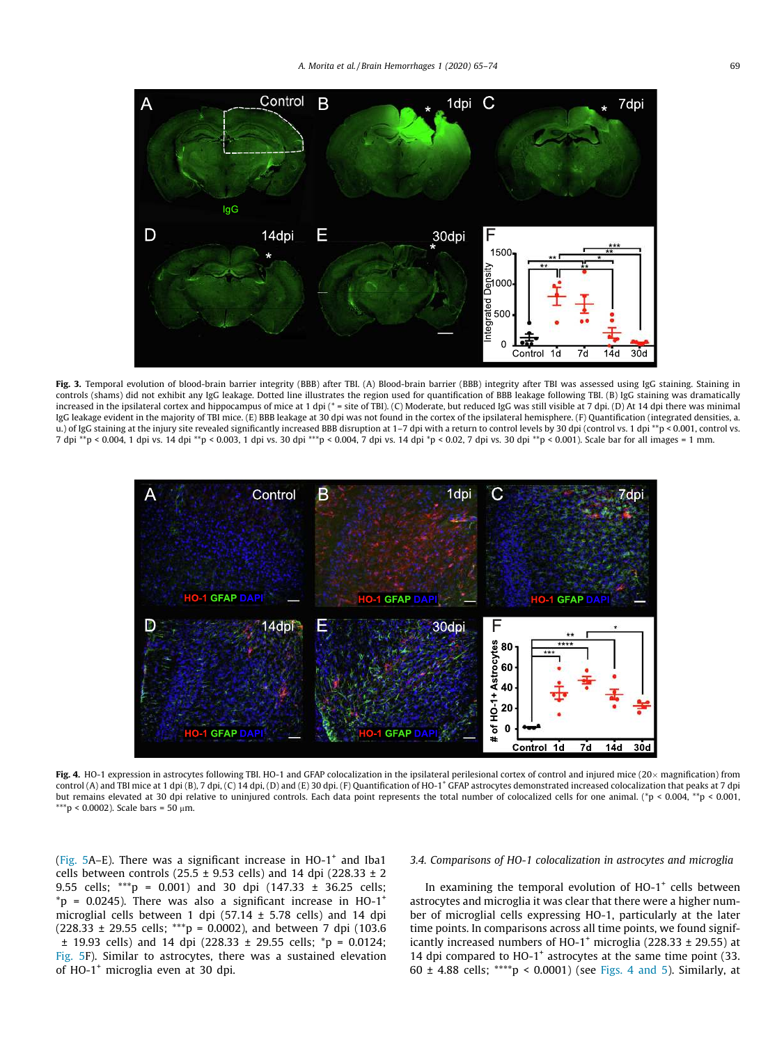

Fig. 3. Temporal evolution of blood-brain barrier integrity (BBB) after TBI. (A) Blood-brain barrier (BBB) integrity after TBI was assessed using IgG staining. Staining in controls (shams) did not exhibit any IgG leakage. Dotted line illustrates the region used for quantification of BBB leakage following TBI. (B) IgG staining was dramatically increased in the ipsilateral cortex and hippocampus of mice at 1 dpi (\* = site of TBI). (C) Moderate, but reduced IgG was still visible at 7 dpi. (D) At 14 dpi there was minimal IgG leakage evident in the majority of TBI mice. (E) BBB leakage at 30 dpi was not found in the cortex of the ipsilateral hemisphere. (F) Quantification (integrated densities, a. u.) of IgG staining at the injury site revealed significantly increased BBB disruption at 1-7 dpi with a return to control levels by 30 dpi (control vs. 1 dpi \*\*p < 0.001, control vs. 7 dpi \*\*p < 0.004, 1 dpi vs. 14 dpi \*\*p < 0.003, 1 dpi vs. 30 dpi \*\*\*p < 0.004, 7 dpi vs. 14 dpi \*p < 0.02, 7 dpi vs. 30 dpi \*\*p < 0.001). Scale bar for all images = 1 mm.



Fig. 4. HO-1 expression in astrocytes following TBI. HO-1 and GFAP colocalization in the ipsilateral perilesional cortex of control and injured mice (20x magnification) from control (A) and TBI mice at 1 dpi (B), 7 dpi, (C) 14 dpi, (D) and (E) 30 dpi. (F) Quantification of HO-1<sup>+</sup> GFAP astrocytes demonstrated increased colocalization that peaks at 7 dpi but remains elevated at 30 dpi relative to uninjured controls. Each data point represents the total number of colocalized cells for one animal. (\*p < 0.004, \*\*p < 0.001, \*\*\*p < 0.0002). Scale bars = 50  $\mu$ m.

(Fig.  $5A-E$ ). There was a significant increase in HO-1<sup>+</sup> and Iba1 cells between controls (25.5  $\pm$  9.53 cells) and 14 dpi (228.33  $\pm$  2 9.55 cells; \*\*\*p = 0.001) and 30 dpi (147.33 ± 36.25 cells;  ${}^*p$  = 0.0245). There was also a significant increase in HO-1<sup>+</sup> microglial cells between 1 dpi (57.14  $\pm$  5.78 cells) and 14 dpi  $(228.33 \pm 29.55 \text{ cells};$  \*\*\*p = 0.0002), and between 7 dpi (103.6 ± 19.93 cells) and 14 dpi (228.33 ± 29.55 cells; \*p = 0.0124; Fig. 5F). Similar to astrocytes, there was a sustained elevation of HO-1<sup>+</sup> microglia even at 30 dpi.

# *3.4. Comparisons of HO-1 colocalization in astrocytes and microglia*

In examining the temporal evolution of HO-1<sup>+</sup> cells between astrocytes and microglia it was clear that there were a higher number of microglial cells expressing HO-1, particularly at the later time points. In comparisons across all time points, we found significantly increased numbers of HO-1<sup>+</sup> microglia (228.33  $\pm$  29.55) at 14 dpi compared to HO-1<sup>+</sup> astrocytes at the same time point (33. 60  $\pm$  4.88 cells; \*\*\*\*p < 0.0001) (see Figs. 4 and 5). Similarly, at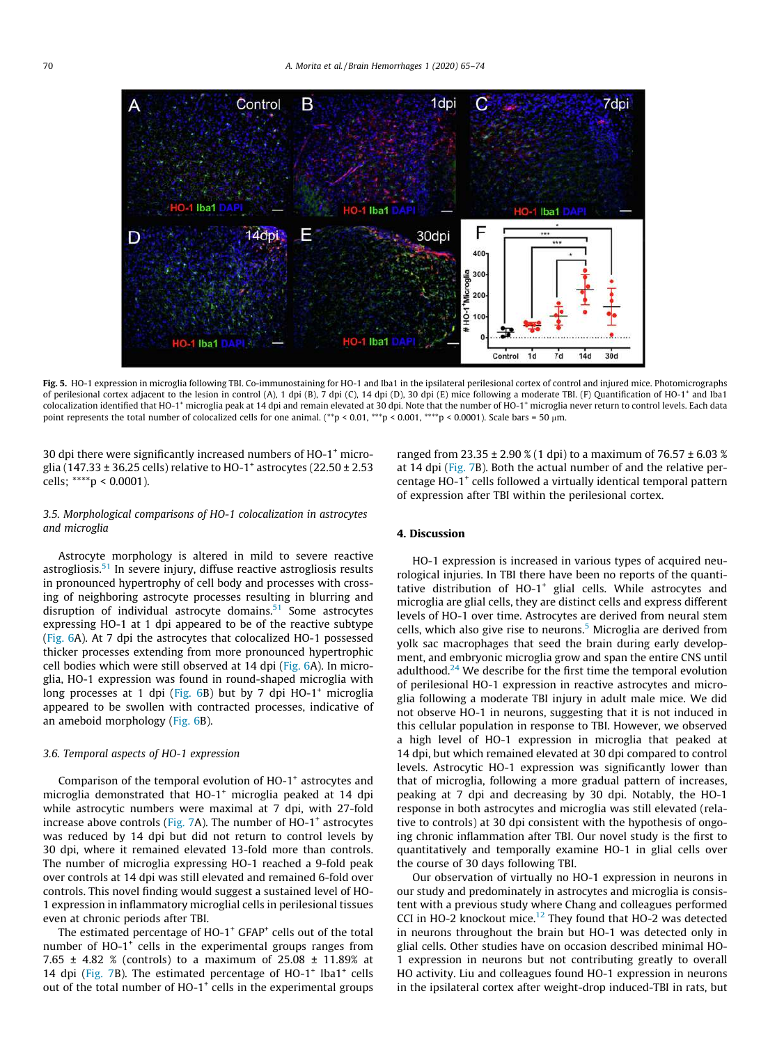

Fig. 5. HO-1 expression in microglia following TBI. Co-immunostaining for HO-1 and Iba1 in the ipsilateral perilesional cortex of control and injured mice. Photomicrographs of perilesional cortex adjacent to the lesion in control (A), 1 dpi (B), 7 dpi (C), 14 dpi (D), 30 dpi (E) mice following a moderate TBI. (F) Quantification of HO-1<sup>+</sup> and Iba1 colocalization identified that HO-1<sup>+</sup> microglia peak at 14 dpi and remain elevated at 30 dpi. Note that the number of HO-1<sup>+</sup> microglia never return to control levels. Each data point represents the total number of colocalized cells for one animal. (\*\*p < 0.01, \*\*\*p < 0.001, \*\*\*\*p < 0.0001). Scale bars = 50 µm.

30 dpi there were significantly increased numbers of HO-1<sup>+</sup> microglia (147.33  $\pm$  36.25 cells) relative to HO-1 $^+$  astrocytes (22.50  $\pm$  2.53 cells; \*\*\*\*p < 0.0001).

## *3.5. Morphological comparisons of HO-1 colocalization in astrocytes and microglia*

Astrocyte morphology is altered in mild to severe reactive astrogliosis. $51$  In severe injury, diffuse reactive astrogliosis results in pronounced hypertrophy of cell body and processes with crossing of neighboring astrocyte processes resulting in blurring and disruption of individual astrocyte domains.<sup>51</sup> Some astrocytes expressing HO-1 at 1 dpi appeared to be of the reactive subtype (Fig. 6A). At 7 dpi the astrocytes that colocalized HO-1 possessed thicker processes extending from more pronounced hypertrophic cell bodies which were still observed at 14 dpi (Fig. 6A). In microglia, HO-1 expression was found in round-shaped microglia with long processes at 1 dpi (Fig.  $6B$ ) but by 7 dpi HO-1<sup>+</sup> microglia appeared to be swollen with contracted processes, indicative of an ameboid morphology (Fig. 6B).

#### *3.6. Temporal aspects of HO-1 expression*

Comparison of the temporal evolution of  $HO-1^+$  astrocytes and microglia demonstrated that HO-1<sup>+</sup> microglia peaked at 14 dpi while astrocytic numbers were maximal at 7 dpi, with 27-fold increase above controls (Fig. 7A). The number of HO-1<sup>+</sup> astrocytes was reduced by 14 dpi but did not return to control levels by 30 dpi, where it remained elevated 13-fold more than controls. The number of microglia expressing HO-1 reached a 9-fold peak over controls at 14 dpi was still elevated and remained 6-fold over controls. This novel finding would suggest a sustained level of HO-1 expression in inflammatory microglial cells in perilesional tissues even at chronic periods after TBI.

The estimated percentage of  $HO-1^+$  GFAP<sup>+</sup> cells out of the total number of HO-1<sup>+</sup> cells in the experimental groups ranges from 7.65  $\pm$  4.82 % (controls) to a maximum of 25.08  $\pm$  11.89% at 14 dpi (Fig. 7B). The estimated percentage of HO-1<sup>+</sup> Iba1<sup>+</sup> cells out of the total number of HO-1<sup>+</sup> cells in the experimental groups

ranged from 23.35  $\pm$  2.90 % (1 dpi) to a maximum of 76.57  $\pm$  6.03 % at 14 dpi (Fig. 7B). Both the actual number of and the relative percentage HO-1<sup>+</sup> cells followed a virtually identical temporal pattern of expression after TBI within the perilesional cortex.

# 4. Discussion

HO-1 expression is increased in various types of acquired neurological injuries. In TBI there have been no reports of the quantitative distribution of HO-1<sup>+</sup> glial cells. While astrocytes and microglia are glial cells, they are distinct cells and express different levels of HO-1 over time. Astrocytes are derived from neural stem cells, which also give rise to neurons.<sup>5</sup> Microglia are derived from yolk sac macrophages that seed the brain during early development, and embryonic microglia grow and span the entire CNS until adulthood. $24$  We describe for the first time the temporal evolution of perilesional HO-1 expression in reactive astrocytes and microglia following a moderate TBI injury in adult male mice. We did not observe HO-1 in neurons, suggesting that it is not induced in this cellular population in response to TBI. However, we observed a high level of HO-1 expression in microglia that peaked at 14 dpi, but which remained elevated at 30 dpi compared to control levels. Astrocytic HO-1 expression was significantly lower than that of microglia, following a more gradual pattern of increases, peaking at 7 dpi and decreasing by 30 dpi. Notably, the HO-1 response in both astrocytes and microglia was still elevated (relative to controls) at 30 dpi consistent with the hypothesis of ongoing chronic inflammation after TBI. Our novel study is the first to quantitatively and temporally examine HO-1 in glial cells over the course of 30 days following TBI.

Our observation of virtually no HO-1 expression in neurons in our study and predominately in astrocytes and microglia is consistent with a previous study where Chang and colleagues performed CCI in HO-2 knockout mice.<sup>12</sup> They found that HO-2 was detected in neurons throughout the brain but HO-1 was detected only in glial cells. Other studies have on occasion described minimal HO-1 expression in neurons but not contributing greatly to overall HO activity. Liu and colleagues found HO-1 expression in neurons in the ipsilateral cortex after weight-drop induced-TBI in rats, but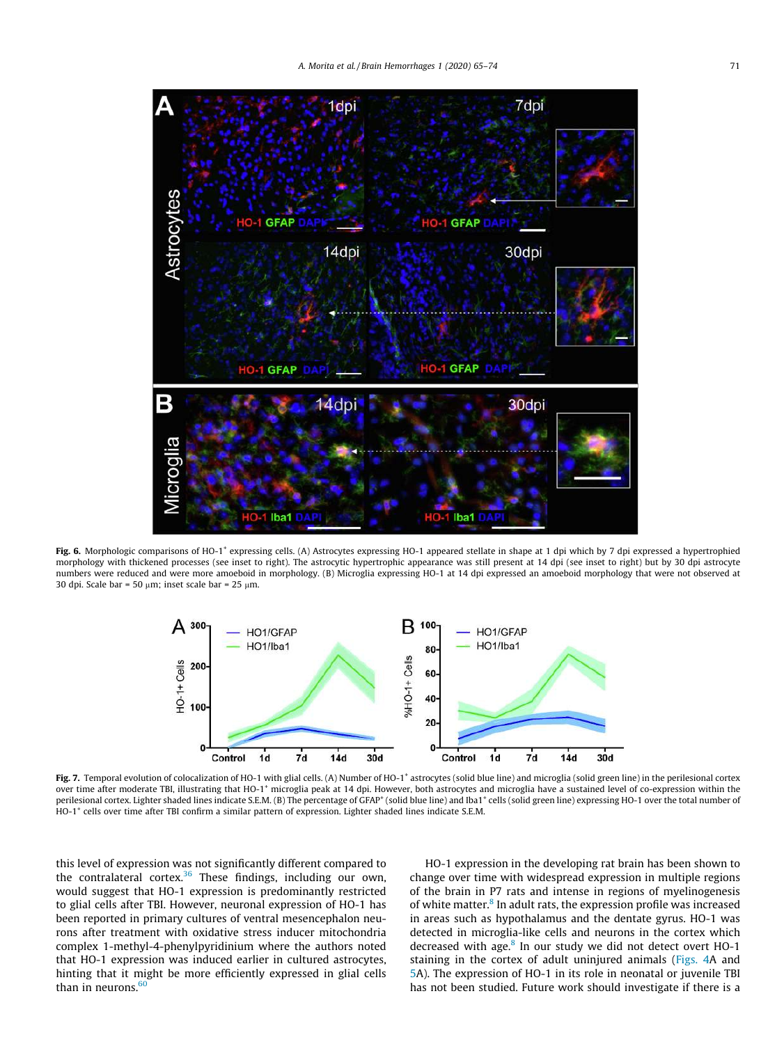

Fig. 6. Morphologic comparisons of HO-1<sup>+</sup> expressing cells. (A) Astrocytes expressing HO-1 appeared stellate in shape at 1 dpi which by 7 dpi expressed a hypertrophied morphology with thickened processes (see inset to right). The astrocytic hypertrophic appearance was still present at 14 dpi (see inset to right) but by 30 dpi astrocyte numbers were reduced and were more amoeboid in morphology. (B) Microglia expressing HO-1 at 14 dpi expressed an amoeboid morphology that were not observed at 30 dpi. Scale bar = 50  $\mu$ m; inset scale bar = 25  $\mu$ m.



Fig. 7. Temporal evolution of colocalization of HO-1 with glial cells. (A) Number of HO-1<sup>+</sup> astrocytes (solid blue line) and microglia (solid green line) in the perilesional cortex over time after moderate TBI, illustrating that HO-1<sup>+</sup> microglia peak at 14 dpi. However, both astrocytes and microglia have a sustained level of co-expression within the perilesional cortex. Lighter shaded lines indicate S.E.M. (B) The percentage of GFAP<sup>+</sup> (solid blue line) and Iba1<sup>+</sup> cells (solid green line) expressing HO-1 over the total number of HO-1<sup>+</sup> cells over time after TBI confirm a similar pattern of expression. Lighter shaded lines indicate S.E.M.

this level of expression was not significantly different compared to the contralateral cortex.<sup>36</sup> These findings, including our own, would suggest that HO-1 expression is predominantly restricted to glial cells after TBI. However, neuronal expression of HO-1 has been reported in primary cultures of ventral mesencephalon neurons after treatment with oxidative stress inducer mitochondria complex 1-methyl-4-phenylpyridinium where the authors noted that HO-1 expression was induced earlier in cultured astrocytes, hinting that it might be more efficiently expressed in glial cells than in neurons. $60$ 

HO-1 expression in the developing rat brain has been shown to change over time with widespread expression in multiple regions of the brain in P7 rats and intense in regions of myelinogenesis of white matter.<sup>8</sup> In adult rats, the expression profile was increased in areas such as hypothalamus and the dentate gyrus. HO-1 was detected in microglia-like cells and neurons in the cortex which decreased with age.<sup>8</sup> In our study we did not detect overt HO-1 staining in the cortex of adult uninjured animals (Figs. 4A and 5A). The expression of HO-1 in its role in neonatal or juvenile TBI has not been studied. Future work should investigate if there is a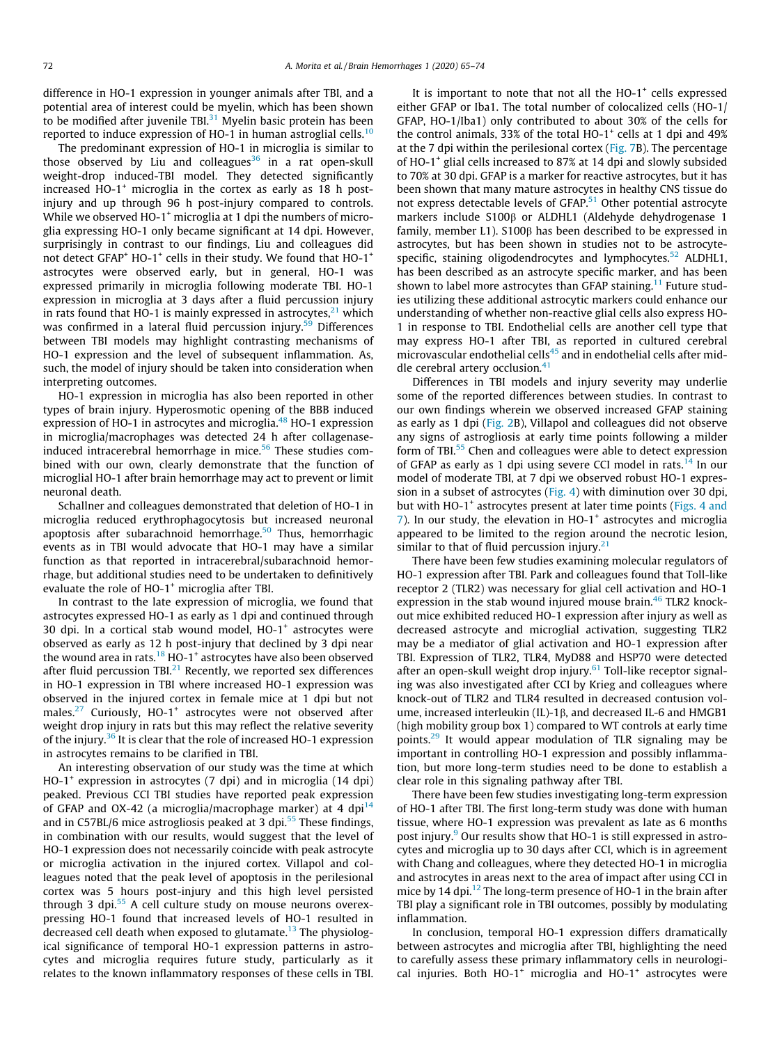difference in HO-1 expression in younger animals after TBI, and a potential area of interest could be myelin, which has been shown to be modified after juvenile TBL $^{31}$  Myelin basic protein has been reported to induce expression of HO-1 in human astroglial cells.<sup>10</sup>

The predominant expression of HO-1 in microglia is similar to those observed by Liu and colleagues<sup>36</sup> in a rat open-skull weight-drop induced-TBI model. They detected significantly increased HO-1<sup>+</sup> microglia in the cortex as early as 18 h postinjury and up through 96 h post-injury compared to controls. While we observed HO-1<sup>+</sup> microglia at 1 dpi the numbers of microglia expressing HO-1 only became significant at 14 dpi. However, surprisingly in contrast to our findings, Liu and colleagues did not detect GFAP<sup>+</sup> HO-1<sup>+</sup> cells in their study. We found that HO-1<sup>+</sup> astrocytes were observed early, but in general, HO-1 was expressed primarily in microglia following moderate TBI. HO-1 expression in microglia at 3 days after a fluid percussion injury in rats found that HO-1 is mainly expressed in astrocytes, $21$  which was confirmed in a lateral fluid percussion injury.<sup>59</sup> Differences between TBI models may highlight contrasting mechanisms of HO-1 expression and the level of subsequent inflammation. As, such, the model of injury should be taken into consideration when interpreting outcomes.

HO-1 expression in microglia has also been reported in other types of brain injury. Hyperosmotic opening of the BBB induced expression of HO-1 in astrocytes and microglia.<sup>48</sup> HO-1 expression in microglia/macrophages was detected 24 h after collagenaseinduced intracerebral hemorrhage in mice.<sup>56</sup> These studies combined with our own, clearly demonstrate that the function of microglial HO-1 after brain hemorrhage may act to prevent or limit neuronal death.

Schallner and colleagues demonstrated that deletion of HO-1 in microglia reduced erythrophagocytosis but increased neuronal apoptosis after subarachnoid hemorrhage.<sup>50</sup> Thus, hemorrhagic events as in TBI would advocate that HO-1 may have a similar function as that reported in intracerebral/subarachnoid hemorrhage, but additional studies need to be undertaken to definitively evaluate the role of HO-1<sup>+</sup> microglia after TBI.

In contrast to the late expression of microglia, we found that astrocytes expressed HO-1 as early as 1 dpi and continued through 30 dpi. In a cortical stab wound model, HO-1<sup>+</sup> astrocytes were observed as early as 12 h post-injury that declined by 3 dpi near the wound area in rats.<sup>18</sup> HO-1<sup>+</sup> astrocytes have also been observed after fluid percussion TBI $^{21}$  Recently, we reported sex differences in HO-1 expression in TBI where increased HO-1 expression was observed in the injured cortex in female mice at 1 dpi but not males.<sup>27</sup> Curiously, HO-1<sup>+</sup> astrocytes were not observed after weight drop injury in rats but this may reflect the relative severity of the injury. $36$  It is clear that the role of increased HO-1 expression in astrocytes remains to be clarified in TBI.

An interesting observation of our study was the time at which HO-1<sup>+</sup> expression in astrocytes (7 dpi) and in microglia (14 dpi) peaked. Previous CCI TBI studies have reported peak expression of GFAP and OX-42 (a microglia/macrophage marker) at 4 dpi $^{14}$ and in C57BL/6 mice astrogliosis peaked at 3 dpi. $55$  These findings, in combination with our results, would suggest that the level of HO-1 expression does not necessarily coincide with peak astrocyte or microglia activation in the injured cortex. Villapol and colleagues noted that the peak level of apoptosis in the perilesional cortex was 5 hours post-injury and this high level persisted through 3 dpi.<sup>55</sup> A cell culture study on mouse neurons overexpressing HO-1 found that increased levels of HO-1 resulted in decreased cell death when exposed to glutamate.<sup>13</sup> The physiological significance of temporal HO-1 expression patterns in astrocytes and microglia requires future study, particularly as it relates to the known inflammatory responses of these cells in TBI.

It is important to note that not all the  $HO-1^+$  cells expressed either GFAP or Iba1. The total number of colocalized cells (HO-1/ GFAP, HO-1/Iba1) only contributed to about 30% of the cells for the control animals, 33% of the total HO-1 $^+$  cells at 1 dpi and 49% at the 7 dpi within the perilesional cortex (Fig. 7B). The percentage of HO-1<sup>+</sup> glial cells increased to 87% at 14 dpi and slowly subsided to 70% at 30 dpi. GFAP is a marker for reactive astrocytes, but it has been shown that many mature astrocytes in healthy CNS tissue do not express detectable levels of GFAP.<sup>51</sup> Other potential astrocyte markers include S100ß or ALDHL1 (Aldehyde dehydrogenase 1 family, member L1). S100 $\beta$  has been described to be expressed in astrocytes, but has been shown in studies not to be astrocytespecific, staining oligodendrocytes and lymphocytes.<sup>52</sup> ALDHL1, has been described as an astrocyte specific marker, and has been shown to label more astrocytes than GFAP staining.<sup>11</sup> Future studies utilizing these additional astrocytic markers could enhance our understanding of whether non-reactive glial cells also express HO-1 in response to TBI. Endothelial cells are another cell type that may express HO-1 after TBI, as reported in cultured cerebral microvascular endothelial cells<sup>45</sup> and in endothelial cells after middle cerebral artery occlusion. $41$ 

Differences in TBI models and injury severity may underlie some of the reported differences between studies. In contrast to our own findings wherein we observed increased GFAP staining as early as 1 dpi (Fig. 2B), Villapol and colleagues did not observe any signs of astrogliosis at early time points following a milder form of TBI.<sup>55</sup> Chen and colleagues were able to detect expression of GFAP as early as 1 dpi using severe CCI model in rats.<sup>14</sup> In our model of moderate TBI, at 7 dpi we observed robust HO-1 expression in a subset of astrocytes (Fig. 4) with diminution over 30 dpi, but with HO-1<sup>+</sup> astrocytes present at later time points (Figs. 4 and 7). In our study, the elevation in HO-1<sup>+</sup> astrocytes and microglia appeared to be limited to the region around the necrotic lesion, similar to that of fluid percussion injury. $21$ 

There have been few studies examining molecular regulators of HO-1 expression after TBI. Park and colleagues found that Toll-like receptor 2 (TLR2) was necessary for glial cell activation and HO-1 expression in the stab wound injured mouse brain.<sup>46</sup> TLR2 knockout mice exhibited reduced HO-1 expression after injury as well as decreased astrocyte and microglial activation, suggesting TLR2 may be a mediator of glial activation and HO-1 expression after TBI. Expression of TLR2, TLR4, MyD88 and HSP70 were detected after an open-skull weight drop injury. $61$  Toll-like receptor signaling was also investigated after CCI by Krieg and colleagues where knock-out of TLR2 and TLR4 resulted in decreased contusion volume, increased interleukin (IL)-1 $\beta$ , and decreased IL-6 and HMGB1 (high mobility group box 1) compared to WT controls at early time points.<sup>29</sup> It would appear modulation of TLR signaling may be important in controlling HO-1 expression and possibly inflammation, but more long-term studies need to be done to establish a clear role in this signaling pathway after TBI.

There have been few studies investigating long-term expression of HO-1 after TBI. The first long-term study was done with human tissue, where HO-1 expression was prevalent as late as 6 months post injury.<sup>9</sup> Our results show that HO-1 is still expressed in astrocytes and microglia up to 30 days after CCI, which is in agreement with Chang and colleagues, where they detected HO-1 in microglia and astrocytes in areas next to the area of impact after using CCI in mice by 14 dpi.<sup>12</sup> The long-term presence of HO-1 in the brain after TBI play a significant role in TBI outcomes, possibly by modulating inflammation.

In conclusion, temporal HO-1 expression differs dramatically between astrocytes and microglia after TBI, highlighting the need to carefully assess these primary inflammatory cells in neurological injuries. Both  $HO-1^+$  microglia and  $HO-1^+$  astrocytes were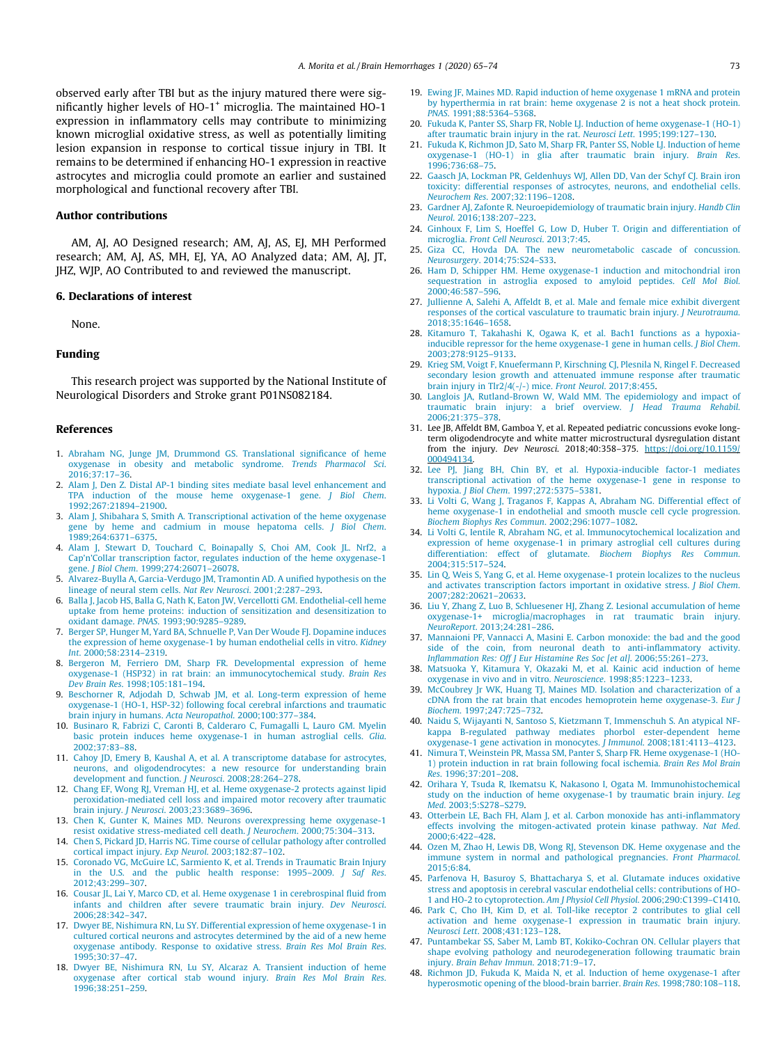observed early after TBI but as the injury matured there were significantly higher levels of HO-1<sup>+</sup> microglia. The maintained HO-1 expression in inflammatory cells may contribute to minimizing known microglial oxidative stress, as well as potentially limiting lesion expansion in response to cortical tissue injury in TBI. It remains to be determined if enhancing HO-1 expression in reactive astrocytes and microglia could promote an earlier and sustained morphological and functional recovery after TBI.

## Author contributions

AM, AJ, AO Designed research; AM, AJ, AS, EJ, MH Performed research; AM, AJ, AS, MH, EJ, YA, AO Analyzed data; AM, AJ, JT, JHZ, WJP, AO Contributed to and reviewed the manuscript.

#### 6. Declarations of interest

None.

## Funding

This research project was supported by the National Institute of Neurological Disorders and Stroke grant P01NS082184.

## References

- 1. Abraham NG, Junge JM, Drummond GS. Translational significance of heme oxygenase in obesity and metabolic syndrome. *Trends Pharmacol Sci*. 2016;37:17–36.
- 2. Alam J, Den Z. Distal AP-1 binding sites mediate basal level enhancement and TPA induction of the mouse heme oxygenase-1 gene. *J Biol Chem*. 1992;267:21894–21900.
- 3. Alam J, Shibahara S, Smith A. Transcriptional activation of the heme oxygenase gene by heme and cadmium in mouse hepatoma cells. *J Biol Chem*. 1989;264:6371–6375.
- 4. Alam J, Stewart D, Touchard C, Boinapally S, Choi AM, Cook JL. Nrf2, a Cap'n'Collar transcription factor, regulates induction of the heme oxygenase-1 gene. *J Biol Chem*. 1999;274:26071–26078.
- 5. Alvarez-Buylla A, Garcia-Verdugo JM, Tramontin AD. A unified hypothesis on the lineage of neural stem cells. *Nat Rev Neurosci*. 2001;2:287–293.
- 6. Balla J, Jacob HS, Balla G, Nath K, Eaton JW, Vercellotti GM. Endothelial-cell heme uptake from heme proteins: induction of sensitization and desensitization to oxidant damage. *PNAS*. 1993;90:9285–9289.
- 7. Berger SP, Hunger M, Yard BA, Schnuelle P, Van Der Woude FJ. Dopamine induces the expression of heme oxygenase-1 by human endothelial cells in vitro. *Kidney Int*. 2000;58:2314–2319.
- 8. Bergeron M, Ferriero DM, Sharp FR. Developmental expression of heme oxygenase-1 (HSP32) in rat brain: an immunocytochemical study. *Brain Res Dev Brain Res*. 1998;105:181–194.
- 9. Beschorner R, Adjodah D, Schwab JM, et al. Long-term expression of heme oxygenase-1 (HO-1, HSP-32) following focal cerebral infarctions and traumatic brain injury in humans. *Acta Neuropathol*. 2000;100:377–384.
- 10. Businaro R, Fabrizi C, Caronti B, Calderaro C, Fumagalli L, Lauro GM. Myelin basic protein induces heme oxygenase-1 in human astroglial cells. *Glia*. 2002;37:83–88.
- 11. Cahoy JD, Emery B, Kaushal A, et al. A transcriptome database for astrocytes, neurons, and oligodendrocytes: a new resource for understanding brain development and function. *J Neurosci*. 2008;28:264–278.
- 12. Chang EF, Wong RJ, Vreman HJ, et al. Heme oxygenase-2 protects against lipid peroxidation-mediated cell loss and impaired motor recovery after traumatic brain injury. *J Neurosci*. 2003;23:3689–3696.
- 13. Chen K, Gunter K, Maines MD. Neurons overexpressing heme oxygenase-1 resist oxidative stress-mediated cell death. *J Neurochem*. 2000;75:304–313.
- 14. Chen S, Pickard JD, Harris NG. Time course of cellular pathology after controlled cortical impact injury. *Exp Neurol*. 2003;182:87–102.
- 15. Coronado VG, McGuire LC, Sarmiento K, et al. Trends in Traumatic Brain Injury in the U.S. and the public health response: 1995–2009. *J Saf Res*. 2012;43:299–307.
- 16. Cousar JL, Lai Y, Marco CD, et al. Heme oxygenase 1 in cerebrospinal fluid from infants and children after severe traumatic brain injury. *Dev Neurosci*. 2006;28:342–347.
- 17. Dwyer BE, Nishimura RN, Lu SY. Differential expression of heme oxygenase-1 in cultured cortical neurons and astrocytes determined by the aid of a new heme oxygenase antibody. Response to oxidative stress. *Brain Res Mol Brain Res*. 1995;30:37–47.
- 18. Dwyer BE, Nishimura RN, Lu SY, Alcaraz A. Transient induction of heme oxygenase after cortical stab wound injury. *Brain Res Mol Brain Res*. 1996;38:251–259.
- 19. Ewing JF, Maines MD. Rapid induction of heme oxygenase 1 mRNA and protein by hyperthermia in rat brain: heme oxygenase 2 is not a heat shock protein. *PNAS*. 1991;88:5364–5368.
- 20. Fukuda K, Panter SS, Sharp FR, Noble LJ. Induction of heme oxygenase-1 (HO-1) after traumatic brain injury in the rat. *Neurosci Lett*. 1995;199:127–130.
- 21. Fukuda K, Richmon JD, Sato M, Sharp FR, Panter SS, Noble LJ. Induction of heme oxygenase-1 (HO-1) in glia after traumatic brain injury. *Brain Res*. 1996;736:68–75.
- 22. Gaasch JA, Lockman PR, Geldenhuys WJ, Allen DD, Van der Schyf CJ. Brain iron toxicity: differential responses of astrocytes, neurons, and endothelial cells. *Neurochem Res*. 2007;32:1196–1208.
- 23. Gardner AJ, Zafonte R. Neuroepidemiology of traumatic brain injury. *Handb Clin Neurol*. 2016;138:207–223.
- 24. Ginhoux F, Lim S, Hoeffel G, Low D, Huber T. Origin and differentiation of microglia. *Front Cell Neurosci*. 2013;7:45.
- 25. Giza CC, Hovda DA. The new neurometabolic cascade of concussion. *Neurosurgery*. 2014;75:S24–S33.
- 26. Ham D, Schipper HM. Heme oxygenase-1 induction and mitochondrial iron sequestration in astroglia exposed to amyloid peptides. *Cell Mol Biol*. 2000;46:587–596.
- 27. Jullienne A, Salehi A, Affeldt B, et al. Male and female mice exhibit divergent responses of the cortical vasculature to traumatic brain injury. *J Neurotrauma*. 2018;35:1646–1658.
- 28. Kitamuro T, Takahashi K, Ogawa K, et al. Bach1 functions as a hypoxiainducible repressor for the heme oxygenase-1 gene in human cells. *J Biol Chem*. 2003;278:9125–9133.
- 29. Krieg SM, Voigt F, Knuefermann P, Kirschning CJ, Plesnila N, Ringel F. Decreased secondary lesion growth and attenuated immune response after traumatic brain injury in Tlr2/4(-/-) mice. *Front Neurol*. 2017;8:455.
- 30. Langlois JA, Rutland-Brown W, Wald MM. The epidemiology and impact of traumatic brain injury: a brief overview. *J Head Trauma Rehabil*. 2006;21:375–378.
- 31. Lee JB, Affeldt BM, Gamboa Y, et al. Repeated pediatric concussions evoke longterm oligodendrocyte and white matter microstructural dysregulation distant from the injury. *Dev Neurosci*. 2018;40:358–375. https://doi.org/10.1159/ 000494134.
- 32. Lee PJ, Jiang BH, Chin BY, et al. Hypoxia-inducible factor-1 mediates transcriptional activation of the heme oxygenase-1 gene in response to hypoxia. *J Biol Chem*. 1997;272:5375–5381.
- 33. Li Volti G, Wang J, Traganos F, Kappas A, Abraham NG. Differential effect of heme oxygenase-1 in endothelial and smooth muscle cell cycle progression. *Biochem Biophys Res Commun*. 2002;296:1077–1082.
- 34. Li Volti G, Ientile R, Abraham NG, et al. Immunocytochemical localization and expression of heme oxygenase-1 in primary astroglial cell cultures during differentiation: effect of glutamate. *Biochem Biophys Res Commun*. 2004;315:517–524.
- 35. Lin Q, Weis S, Yang G, et al. Heme oxygenase-1 protein localizes to the nucleus and activates transcription factors important in oxidative stress. *J Biol Chem*. 2007;282:20621–20633.
- 36. Liu Y, Zhang Z, Luo B, Schluesener HJ, Zhang Z. Lesional accumulation of heme oxygenase-1+ microglia/macrophages in rat traumatic brain injury. *NeuroReport*. 2013;24:281–286.
- 37. Mannaioni PF, Vannacci A, Masini E. Carbon monoxide: the bad and the good side of the coin, from neuronal death to anti-inflammatory activity. *Inflammation Res: Off J Eur Histamine Res Soc [et al]*. 2006;55:261–273.
- 38. Matsuoka Y, Kitamura Y, Okazaki M, et al. Kainic acid induction of heme oxygenase in vivo and in vitro. *Neuroscience*. 1998;85:1223–1233.
- 39. McCoubrey Jr WK, Huang TJ, Maines MD. Isolation and characterization of a cDNA from the rat brain that encodes hemoprotein heme oxygenase-3. *Eur J Biochem*. 1997;247:725–732.
- 40. Naidu S, Wijayanti N, Santoso S, Kietzmann T, Immenschuh S. An atypical NFkappa B-regulated pathway mediates phorbol ester-dependent heme oxygenase-1 gene activation in monocytes. *J Immunol*. 2008;181:4113–4123.
- 41. Nimura T, Weinstein PR, Massa SM, Panter S, Sharp FR. Heme oxygenase-1 (HO-1) protein induction in rat brain following focal ischemia. *Brain Res Mol Brain Res*. 1996;37:201–208.
- 42. Orihara Y, Tsuda R, Ikematsu K, Nakasono I, Ogata M. Immunohistochemical study on the induction of heme oxygenase-1 by traumatic brain injury. *Leg Med*. 2003;5:S278–S279.
- 43. Otterbein LE, Bach FH, Alam J, et al. Carbon monoxide has anti-inflammatory effects involving the mitogen-activated protein kinase pathway. *Nat Med*. 2000;6:422–428.
- 44. Ozen M, Zhao H, Lewis DB, Wong RJ, Stevenson DK. Heme oxygenase and the immune system in normal and pathological pregnancies. *Front Pharmacol*.  $2015:6:84$
- 45. Parfenova H, Basuroy S, Bhattacharya S, et al. Glutamate induces oxidative stress and apoptosis in cerebral vascular endothelial cells: contributions of HO-1 and HO-2 to cytoprotection. *Am J Physiol Cell Physiol*. 2006;290:C1399–C1410.
- 46. Park C, Cho IH, Kim D, et al. Toll-like receptor 2 contributes to glial cell activation and heme oxygenase-1 expression in traumatic brain injury. *Neurosci Lett*. 2008;431:123–128.
- 47. Puntambekar SS, Saber M, Lamb BT, Kokiko-Cochran ON. Cellular players that shape evolving pathology and neurodegeneration following traumatic brain injury. *Brain Behav Immun*. 2018;71:9–17.
- 48. Richmon JD, Fukuda K, Maida N, et al. Induction of heme oxygenase-1 after hyperosmotic opening of the blood-brain barrier. *Brain Res*. 1998;780:108–118.